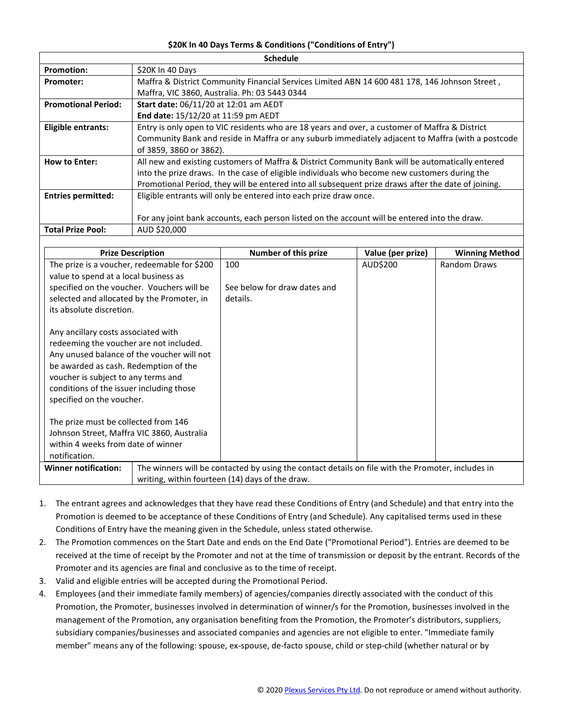## **\$20K In 40 Days Terms & Conditions ("Conditions of Entry")**

| <b>Schedule</b>            |                                                                                                     |  |  |  |  |
|----------------------------|-----------------------------------------------------------------------------------------------------|--|--|--|--|
| <b>Promotion:</b>          | \$20K In 40 Days                                                                                    |  |  |  |  |
| <b>Promoter:</b>           | Maffra & District Community Financial Services Limited ABN 14 600 481 178, 146 Johnson Street,      |  |  |  |  |
|                            | Maffra, VIC 3860, Australia. Ph: 03 5443 0344                                                       |  |  |  |  |
| <b>Promotional Period:</b> | Start date: 06/11/20 at 12:01 am AEDT                                                               |  |  |  |  |
|                            | End date: 15/12/20 at 11:59 pm AEDT                                                                 |  |  |  |  |
| Eligible entrants:         | Entry is only open to VIC residents who are 18 years and over, a customer of Maffra & District      |  |  |  |  |
|                            | Community Bank and reside in Maffra or any suburb immediately adjacent to Maffra (with a postcode   |  |  |  |  |
|                            | of 3859, 3860 or 3862).                                                                             |  |  |  |  |
| <b>How to Enter:</b>       | All new and existing customers of Maffra & District Community Bank will be automatically entered    |  |  |  |  |
|                            | into the prize draws. In the case of eligible individuals who become new customers during the       |  |  |  |  |
|                            | Promotional Period, they will be entered into all subsequent prize draws after the date of joining. |  |  |  |  |
| <b>Entries permitted:</b>  | Eligible entrants will only be entered into each prize draw once.                                   |  |  |  |  |
|                            |                                                                                                     |  |  |  |  |
|                            | For any joint bank accounts, each person listed on the account will be entered into the draw.       |  |  |  |  |
| <b>Total Prize Pool:</b>   | AUD \$20,000                                                                                        |  |  |  |  |

| <b>Prize Description</b>                                                                                                                                                                                                                                                                                                                                                                                                           |                                                                                                   | <b>Number of this prize</b>  | Value (per prize) | <b>Winning Method</b> |
|------------------------------------------------------------------------------------------------------------------------------------------------------------------------------------------------------------------------------------------------------------------------------------------------------------------------------------------------------------------------------------------------------------------------------------|---------------------------------------------------------------------------------------------------|------------------------------|-------------------|-----------------------|
| The prize is a voucher, redeemable for \$200<br>value to spend at a local business as                                                                                                                                                                                                                                                                                                                                              |                                                                                                   | 100                          | AUD\$200          | <b>Random Draws</b>   |
| specified on the voucher. Vouchers will be                                                                                                                                                                                                                                                                                                                                                                                         |                                                                                                   | See below for draw dates and |                   |                       |
| selected and allocated by the Promoter, in                                                                                                                                                                                                                                                                                                                                                                                         |                                                                                                   | details.                     |                   |                       |
| its absolute discretion.                                                                                                                                                                                                                                                                                                                                                                                                           |                                                                                                   |                              |                   |                       |
| Any ancillary costs associated with<br>redeeming the voucher are not included.<br>Any unused balance of the voucher will not<br>be awarded as cash. Redemption of the<br>voucher is subject to any terms and<br>conditions of the issuer including those<br>specified on the voucher.<br>The prize must be collected from 146<br>Johnson Street, Maffra VIC 3860, Australia<br>within 4 weeks from date of winner<br>notification. |                                                                                                   |                              |                   |                       |
| <b>Winner notification:</b>                                                                                                                                                                                                                                                                                                                                                                                                        |                                                                                                   |                              |                   |                       |
|                                                                                                                                                                                                                                                                                                                                                                                                                                    | The winners will be contacted by using the contact details on file with the Promoter, includes in |                              |                   |                       |
|                                                                                                                                                                                                                                                                                                                                                                                                                                    | writing, within fourteen (14) days of the draw.                                                   |                              |                   |                       |

- 1. The entrant agrees and acknowledges that they have read these Conditions of Entry (and Schedule) and that entry into the Promotion is deemed to be acceptance of these Conditions of Entry (and Schedule). Any capitalised terms used in these Conditions of Entry have the meaning given in the Schedule, unless stated otherwise.
- 2. The Promotion commences on the Start Date and ends on the End Date ("Promotional Period"). Entries are deemed to be received at the time of receipt by the Promoter and not at the time of transmission or deposit by the entrant. Records of the Promoter and its agencies are final and conclusive as to the time of receipt.
- 3. Valid and eligible entries will be accepted during the Promotional Period.
- 4. Employees (and their immediate family members) of agencies/companies directly associated with the conduct of this Promotion, the Promoter, businesses involved in determination of winner/s for the Promotion, businesses involved in the management of the Promotion, any organisation benefiting from the Promotion, the Promoter's distributors, suppliers, subsidiary companies/businesses and associated companies and agencies are not eligible to enter. "Immediate family member" means any of the following: spouse, ex-spouse, de-facto spouse, child or step-child (whether natural or by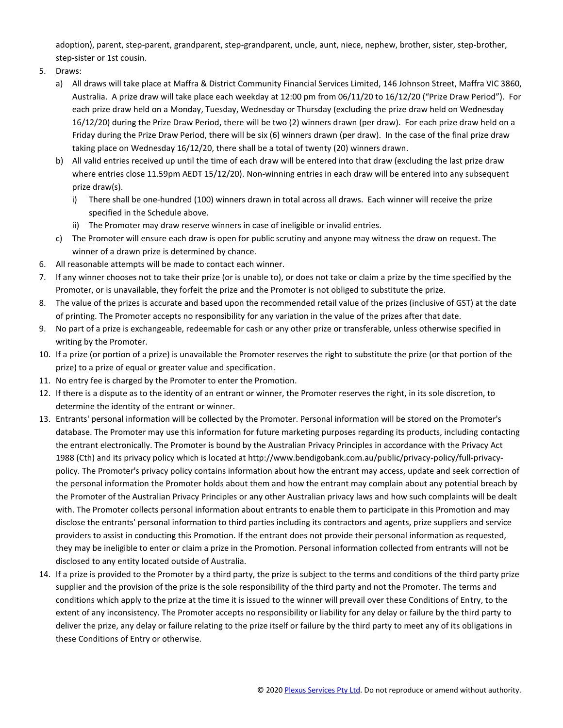adoption), parent, step-parent, grandparent, step-grandparent, uncle, aunt, niece, nephew, brother, sister, step-brother, step-sister or 1st cousin.

- 5. Draws:
	- a) All draws will take place at Maffra & District Community Financial Services Limited, 146 Johnson Street, Maffra VIC 3860, Australia. A prize draw will take place each weekday at 12:00 pm from 06/11/20 to 16/12/20 ("Prize Draw Period"). For each prize draw held on a Monday, Tuesday, Wednesday or Thursday (excluding the prize draw held on Wednesday 16/12/20) during the Prize Draw Period, there will be two (2) winners drawn (per draw). For each prize draw held on a Friday during the Prize Draw Period, there will be six (6) winners drawn (per draw). In the case of the final prize draw taking place on Wednesday 16/12/20, there shall be a total of twenty (20) winners drawn.
	- b) All valid entries received up until the time of each draw will be entered into that draw (excluding the last prize draw where entries close 11.59pm AEDT 15/12/20). Non-winning entries in each draw will be entered into any subsequent prize draw(s).
		- i) There shall be one-hundred (100) winners drawn in total across all draws. Each winner will receive the prize specified in the Schedule above.
		- ii) The Promoter may draw reserve winners in case of ineligible or invalid entries.
	- c) The Promoter will ensure each draw is open for public scrutiny and anyone may witness the draw on request. The winner of a drawn prize is determined by chance.
- 6. All reasonable attempts will be made to contact each winner.
- 7. If any winner chooses not to take their prize (or is unable to), or does not take or claim a prize by the time specified by the Promoter, or is unavailable, they forfeit the prize and the Promoter is not obliged to substitute the prize.
- 8. The value of the prizes is accurate and based upon the recommended retail value of the prizes (inclusive of GST) at the date of printing. The Promoter accepts no responsibility for any variation in the value of the prizes after that date.
- 9. No part of a prize is exchangeable, redeemable for cash or any other prize or transferable, unless otherwise specified in writing by the Promoter.
- 10. If a prize (or portion of a prize) is unavailable the Promoter reserves the right to substitute the prize (or that portion of the prize) to a prize of equal or greater value and specification.
- 11. No entry fee is charged by the Promoter to enter the Promotion.
- 12. If there is a dispute as to the identity of an entrant or winner, the Promoter reserves the right, in its sole discretion, to determine the identity of the entrant or winner.
- 13. Entrants' personal information will be collected by the Promoter. Personal information will be stored on the Promoter's database. The Promoter may use this information for future marketing purposes regarding its products, including contacting the entrant electronically. The Promoter is bound by the Australian Privacy Principles in accordance with the Privacy Act 1988 (Cth) and its privacy policy which is located at http://www.bendigobank.com.au/public/privacy-policy/full-privacypolicy. The Promoter's privacy policy contains information about how the entrant may access, update and seek correction of the personal information the Promoter holds about them and how the entrant may complain about any potential breach by the Promoter of the Australian Privacy Principles or any other Australian privacy laws and how such complaints will be dealt with. The Promoter collects personal information about entrants to enable them to participate in this Promotion and may disclose the entrants' personal information to third parties including its contractors and agents, prize suppliers and service providers to assist in conducting this Promotion. If the entrant does not provide their personal information as requested, they may be ineligible to enter or claim a prize in the Promotion. Personal information collected from entrants will not be disclosed to any entity located outside of Australia.
- 14. If a prize is provided to the Promoter by a third party, the prize is subject to the terms and conditions of the third party prize supplier and the provision of the prize is the sole responsibility of the third party and not the Promoter. The terms and conditions which apply to the prize at the time it is issued to the winner will prevail over these Conditions of Entry, to the extent of any inconsistency. The Promoter accepts no responsibility or liability for any delay or failure by the third party to deliver the prize, any delay or failure relating to the prize itself or failure by the third party to meet any of its obligations in these Conditions of Entry or otherwise.